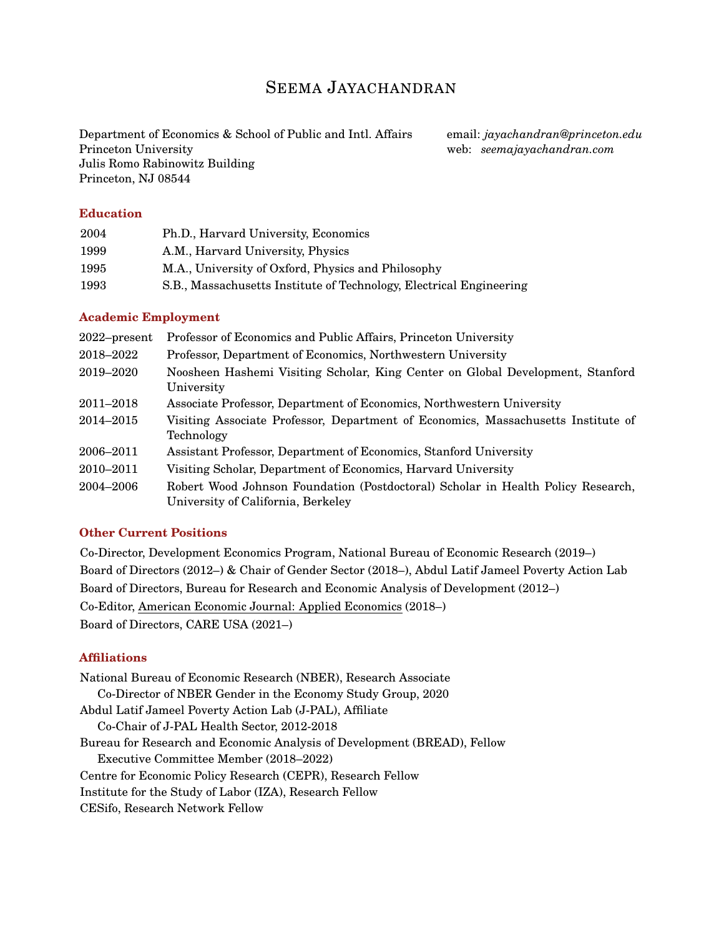# SEEMA JAYACHANDRAN

Department of Economics & School of Public and Intl. Affairs Princeton University Julis Romo Rabinowitz Building Princeton, NJ 08544

email: *jayachandran@princeton.edu* web: *seemajayachandran.com*

# **Education**

| 2004 | Ph.D., Harvard University, Economics                                |
|------|---------------------------------------------------------------------|
| 1999 | A.M., Harvard University, Physics                                   |
| 1995 | M.A., University of Oxford, Physics and Philosophy                  |
| 1993 | S.B., Massachusetts Institute of Technology, Electrical Engineering |

## **Academic Employment**

| $2022$ -present | Professor of Economics and Public Affairs, Princeton University                                                        |  |
|-----------------|------------------------------------------------------------------------------------------------------------------------|--|
| 2018–2022       | Professor, Department of Economics, Northwestern University                                                            |  |
| 2019-2020       | Noosheen Hashemi Visiting Scholar, King Center on Global Development, Stanford<br>University                           |  |
| 2011–2018       | Associate Professor, Department of Economics, Northwestern University                                                  |  |
| 2014–2015       | Visiting Associate Professor, Department of Economics, Massachusetts Institute of<br>Technology                        |  |
| 2006-2011       | Assistant Professor, Department of Economics, Stanford University                                                      |  |
| 2010–2011       | Visiting Scholar, Department of Economics, Harvard University                                                          |  |
| 2004–2006       | Robert Wood Johnson Foundation (Postdoctoral) Scholar in Health Policy Research,<br>University of California, Berkeley |  |

## **Other Current Positions**

Co-Director, Development Economics Program, National Bureau of Economic Research (2019–) Board of Directors (2012–) & Chair of Gender Sector (2018–), Abdul Latif Jameel Poverty Action Lab Board of Directors, Bureau for Research and Economic Analysis of Development (2012–) Co-Editor, American Economic Journal: Applied Economics (2018–) Board of Directors, CARE USA (2021–)

# **Affiliations**

National Bureau of Economic Research (NBER), Research Associate Co-Director of NBER Gender in the Economy Study Group, 2020 Abdul Latif Jameel Poverty Action Lab (J-PAL), Affiliate Co-Chair of J-PAL Health Sector, 2012-2018 Bureau for Research and Economic Analysis of Development (BREAD), Fellow Executive Committee Member (2018–2022) Centre for Economic Policy Research (CEPR), Research Fellow Institute for the Study of Labor (IZA), Research Fellow CESifo, Research Network Fellow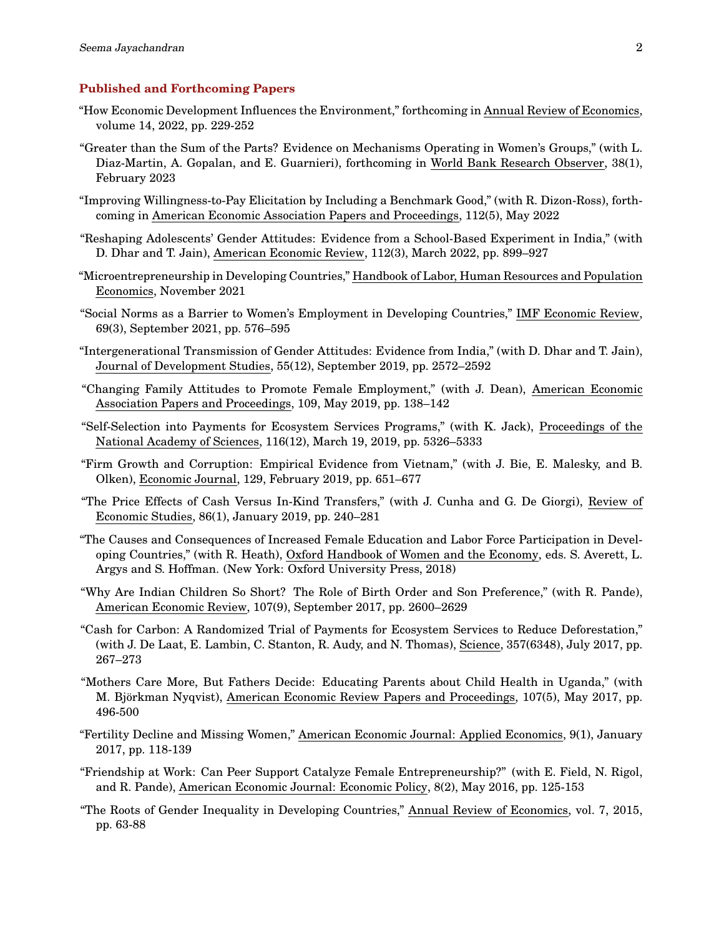#### **Published and Forthcoming Papers**

- "How Economic Development Influences the Environment," forthcoming in Annual Review of Economics, volume 14, 2022, pp. 229-252
- "Greater than the Sum of the Parts? Evidence on Mechanisms Operating in Women's Groups," (with L. Diaz-Martin, A. Gopalan, and E. Guarnieri), forthcoming in World Bank Research Observer, 38(1), February 2023
- "Improving Willingness-to-Pay Elicitation by Including a Benchmark Good," (with R. Dizon-Ross), forthcoming in American Economic Association Papers and Proceedings, 112(5), May 2022
- "Reshaping Adolescents' Gender Attitudes: Evidence from a School-Based Experiment in India," (with D. Dhar and T. Jain), American Economic Review, 112(3), March 2022, pp. 899–927
- "Microentrepreneurship in Developing Countries," Handbook of Labor, Human Resources and Population Economics, November 2021
- "Social Norms as a Barrier to Women's Employment in Developing Countries," IMF Economic Review, 69(3), September 2021, pp. 576–595
- "Intergenerational Transmission of Gender Attitudes: Evidence from India," (with D. Dhar and T. Jain), Journal of Development Studies, 55(12), September 2019, pp. 2572–2592
- "Changing Family Attitudes to Promote Female Employment," (with J. Dean), American Economic Association Papers and Proceedings, 109, May 2019, pp. 138–142
- "Self-Selection into Payments for Ecosystem Services Programs," (with K. Jack), Proceedings of the National Academy of Sciences, 116(12), March 19, 2019, pp. 5326–5333
- "Firm Growth and Corruption: Empirical Evidence from Vietnam," (with J. Bie, E. Malesky, and B. Olken), Economic Journal, 129, February 2019, pp. 651–677
- "The Price Effects of Cash Versus In-Kind Transfers," (with J. Cunha and G. De Giorgi), Review of Economic Studies, 86(1), January 2019, pp. 240–281
- "The Causes and Consequences of Increased Female Education and Labor Force Participation in Developing Countries," (with R. Heath), Oxford Handbook of Women and the Economy, eds. S. Averett, L. Argys and S. Hoffman. (New York: Oxford University Press, 2018)
- "Why Are Indian Children So Short? The Role of Birth Order and Son Preference," (with R. Pande), American Economic Review, 107(9), September 2017, pp. 2600–2629
- "Cash for Carbon: A Randomized Trial of Payments for Ecosystem Services to Reduce Deforestation," (with J. De Laat, E. Lambin, C. Stanton, R. Audy, and N. Thomas), Science, 357(6348), July 2017, pp. 267–273
- "Mothers Care More, But Fathers Decide: Educating Parents about Child Health in Uganda," (with M. Björkman Nyqvist), American Economic Review Papers and Proceedings, 107(5), May 2017, pp. 496-500
- "Fertility Decline and Missing Women," American Economic Journal: Applied Economics, 9(1), January 2017, pp. 118-139
- "Friendship at Work: Can Peer Support Catalyze Female Entrepreneurship?" (with E. Field, N. Rigol, and R. Pande), American Economic Journal: Economic Policy, 8(2), May 2016, pp. 125-153
- "The Roots of Gender Inequality in Developing Countries," Annual Review of Economics, vol. 7, 2015, pp. 63-88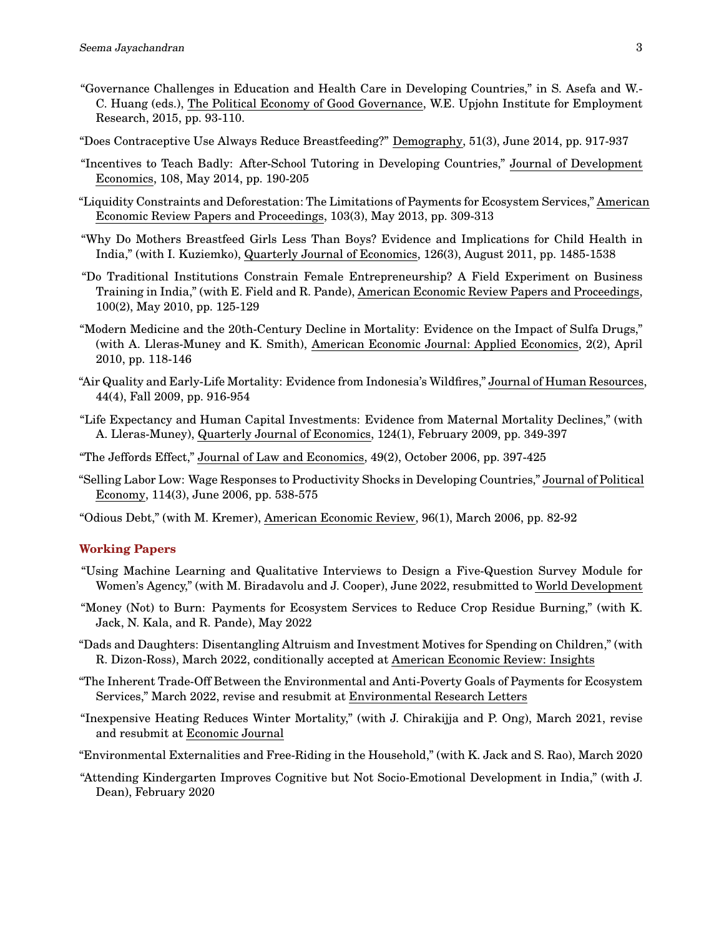- "Governance Challenges in Education and Health Care in Developing Countries," in S. Asefa and W.- C. Huang (eds.), The Political Economy of Good Governance, W.E. Upjohn Institute for Employment Research, 2015, pp. 93-110.
- "Does Contraceptive Use Always Reduce Breastfeeding?" Demography, 51(3), June 2014, pp. 917-937
- "Incentives to Teach Badly: After-School Tutoring in Developing Countries," Journal of Development Economics, 108, May 2014, pp. 190-205
- "Liquidity Constraints and Deforestation: The Limitations of Payments for Ecosystem Services," American Economic Review Papers and Proceedings, 103(3), May 2013, pp. 309-313
- "Why Do Mothers Breastfeed Girls Less Than Boys? Evidence and Implications for Child Health in India," (with I. Kuziemko), Quarterly Journal of Economics, 126(3), August 2011, pp. 1485-1538
- "Do Traditional Institutions Constrain Female Entrepreneurship? A Field Experiment on Business Training in India," (with E. Field and R. Pande), American Economic Review Papers and Proceedings, 100(2), May 2010, pp. 125-129
- "Modern Medicine and the 20th-Century Decline in Mortality: Evidence on the Impact of Sulfa Drugs," (with A. Lleras-Muney and K. Smith), American Economic Journal: Applied Economics, 2(2), April 2010, pp. 118-146
- "Air Quality and Early-Life Mortality: Evidence from Indonesia's Wildfires," Journal of Human Resources, 44(4), Fall 2009, pp. 916-954
- "Life Expectancy and Human Capital Investments: Evidence from Maternal Mortality Declines," (with A. Lleras-Muney), Quarterly Journal of Economics, 124(1), February 2009, pp. 349-397
- "The Jeffords Effect," Journal of Law and Economics, 49(2), October 2006, pp. 397-425
- "Selling Labor Low: Wage Responses to Productivity Shocks in Developing Countries," Journal of Political Economy, 114(3), June 2006, pp. 538-575
- "Odious Debt," (with M. Kremer), American Economic Review, 96(1), March 2006, pp. 82-92

#### **Working Papers**

- "Using Machine Learning and Qualitative Interviews to Design a Five-Question Survey Module for Women's Agency," (with M. Biradavolu and J. Cooper), June 2022, resubmitted to World Development
- "Money (Not) to Burn: Payments for Ecosystem Services to Reduce Crop Residue Burning," (with K. Jack, N. Kala, and R. Pande), May 2022
- "Dads and Daughters: Disentangling Altruism and Investment Motives for Spending on Children," (with R. Dizon-Ross), March 2022, conditionally accepted at American Economic Review: Insights
- "The Inherent Trade-Off Between the Environmental and Anti-Poverty Goals of Payments for Ecosystem Services," March 2022, revise and resubmit at Environmental Research Letters
- "Inexpensive Heating Reduces Winter Mortality," (with J. Chirakijja and P. Ong), March 2021, revise and resubmit at Economic Journal
- "Environmental Externalities and Free-Riding in the Household," (with K. Jack and S. Rao), March 2020
- "Attending Kindergarten Improves Cognitive but Not Socio-Emotional Development in India," (with J. Dean), February 2020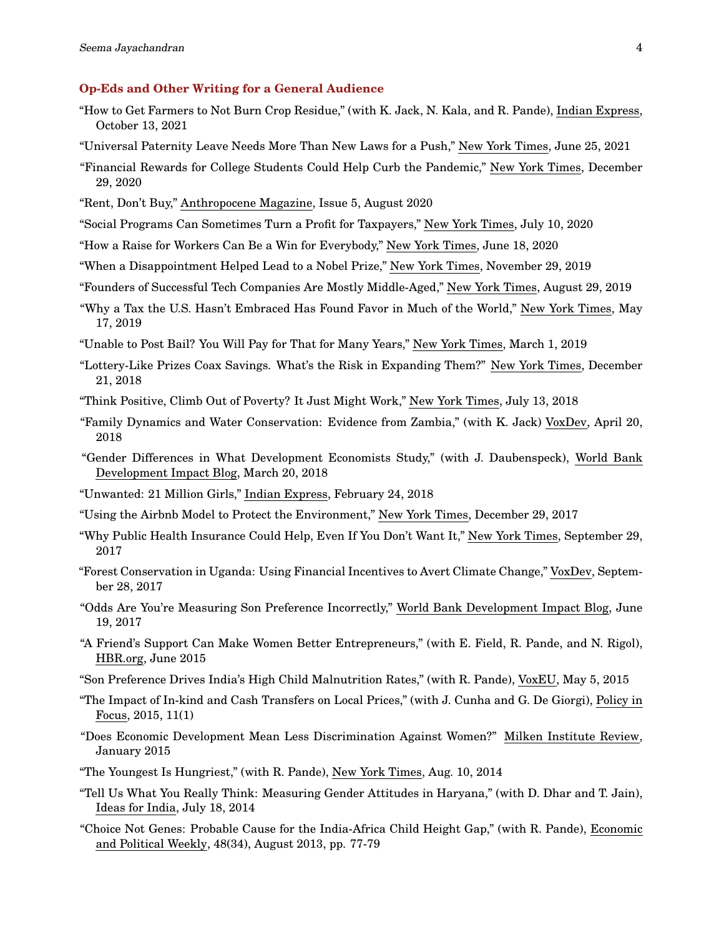# **Op-Eds and Other Writing for a General Audience**

- "How to Get Farmers to Not Burn Crop Residue," (with K. Jack, N. Kala, and R. Pande), Indian Express, October 13, 2021
- "Universal Paternity Leave Needs More Than New Laws for a Push," New York Times, June 25, 2021
- "Financial Rewards for College Students Could Help Curb the Pandemic," New York Times, December 29, 2020
- "Rent, Don't Buy," Anthropocene Magazine, Issue 5, August 2020
- "Social Programs Can Sometimes Turn a Profit for Taxpayers," New York Times, July 10, 2020
- "How a Raise for Workers Can Be a Win for Everybody," New York Times, June 18, 2020
- "When a Disappointment Helped Lead to a Nobel Prize," New York Times, November 29, 2019
- "Founders of Successful Tech Companies Are Mostly Middle-Aged," New York Times, August 29, 2019
- "Why a Tax the U.S. Hasn't Embraced Has Found Favor in Much of the World," New York Times, May 17, 2019
- "Unable to Post Bail? You Will Pay for That for Many Years," New York Times, March 1, 2019
- "Lottery-Like Prizes Coax Savings. What's the Risk in Expanding Them?" New York Times, December 21, 2018
- "Think Positive, Climb Out of Poverty? It Just Might Work," New York Times, July 13, 2018
- "Family Dynamics and Water Conservation: Evidence from Zambia," (with K. Jack) VoxDev, April 20, 2018
- "Gender Differences in What Development Economists Study," (with J. Daubenspeck), World Bank Development Impact Blog, March 20, 2018
- "Unwanted: 21 Million Girls," Indian Express, February 24, 2018
- "Using the Airbnb Model to Protect the Environment," New York Times, December 29, 2017
- "Why Public Health Insurance Could Help, Even If You Don't Want It," New York Times, September 29, 2017
- "Forest Conservation in Uganda: Using Financial Incentives to Avert Climate Change," VoxDev, September 28, 2017
- "Odds Are You're Measuring Son Preference Incorrectly," World Bank Development Impact Blog, June 19, 2017
- "A Friend's Support Can Make Women Better Entrepreneurs," (with E. Field, R. Pande, and N. Rigol), HBR.org, June 2015
- "Son Preference Drives India's High Child Malnutrition Rates," (with R. Pande), VoxEU, May 5, 2015
- "The Impact of In-kind and Cash Transfers on Local Prices," (with J. Cunha and G. De Giorgi), Policy in Focus, 2015, 11(1)
- "Does Economic Development Mean Less Discrimination Against Women?" Milken Institute Review, January 2015
- "The Youngest Is Hungriest," (with R. Pande), New York Times, Aug. 10, 2014
- "Tell Us What You Really Think: Measuring Gender Attitudes in Haryana," (with D. Dhar and T. Jain), Ideas for India, July 18, 2014
- "Choice Not Genes: Probable Cause for the India-Africa Child Height Gap," (with R. Pande), Economic and Political Weekly, 48(34), August 2013, pp. 77-79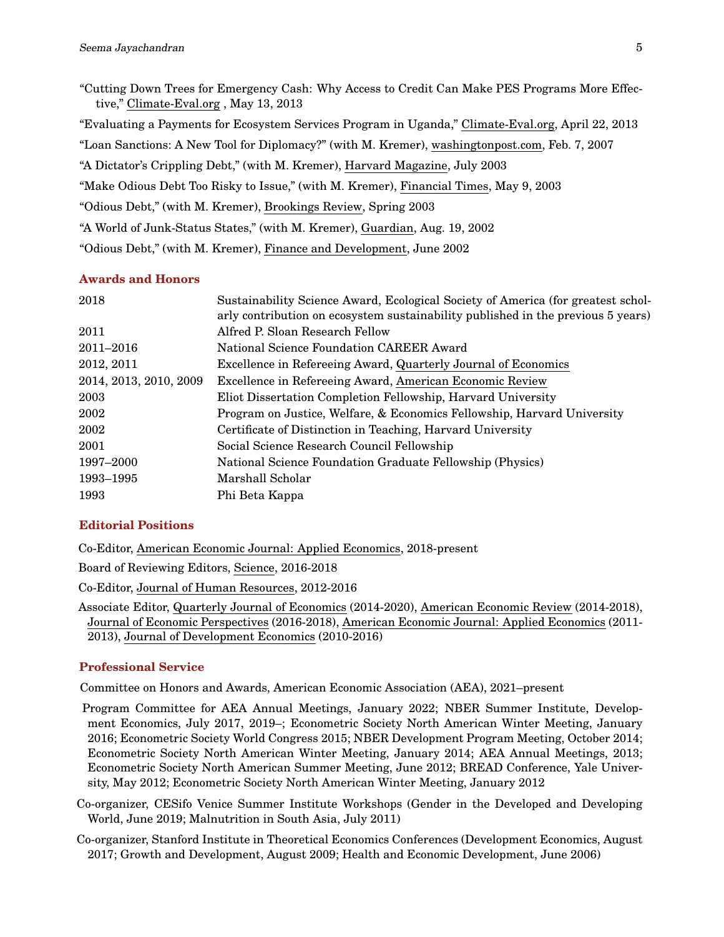"Cutting Down Trees for Emergency Cash: Why Access to Credit Can Make PES Programs More Effective," Climate-Eval.org , May 13, 2013 "Evaluating a Payments for Ecosystem Services Program in Uganda," Climate-Eval.org, April 22, 2013 "Loan Sanctions: A New Tool for Diplomacy?" (with M. Kremer), washingtonpost.com, Feb. 7, 2007 "A Dictator's Crippling Debt," (with M. Kremer), Harvard Magazine, July 2003 "Make Odious Debt Too Risky to Issue," (with M. Kremer), Financial Times, May 9, 2003 "Odious Debt," (with M. Kremer), Brookings Review, Spring 2003 "A World of Junk-Status States," (with M. Kremer), Guardian, Aug. 19, 2002 "Odious Debt," (with M. Kremer), Finance and Development, June 2002

## **Awards and Honors**

| 2018                   | Sustainability Science Award, Ecological Society of America (for greatest schol-<br>arly contribution on ecosystem sustainability published in the previous 5 years) |
|------------------------|----------------------------------------------------------------------------------------------------------------------------------------------------------------------|
| 2011                   | Alfred P. Sloan Research Fellow                                                                                                                                      |
| 2011-2016              | National Science Foundation CAREER Award                                                                                                                             |
| 2012, 2011             | Excellence in Refereeing Award, Quarterly Journal of Economics                                                                                                       |
| 2014, 2013, 2010, 2009 | Excellence in Refereeing Award, American Economic Review                                                                                                             |
| 2003                   | Eliot Dissertation Completion Fellowship, Harvard University                                                                                                         |
| 2002                   | Program on Justice, Welfare, & Economics Fellowship, Harvard University                                                                                              |
| 2002                   | Certificate of Distinction in Teaching, Harvard University                                                                                                           |
| 2001                   | Social Science Research Council Fellowship                                                                                                                           |
| 1997–2000              | National Science Foundation Graduate Fellowship (Physics)                                                                                                            |
| 1993–1995              | Marshall Scholar                                                                                                                                                     |
| 1993                   | Phi Beta Kappa                                                                                                                                                       |
|                        |                                                                                                                                                                      |

## **Editorial Positions**

Co-Editor, American Economic Journal: Applied Economics, 2018-present

Board of Reviewing Editors, Science, 2016-2018

Co-Editor, Journal of Human Resources, 2012-2016

Associate Editor, Quarterly Journal of Economics (2014-2020), American Economic Review (2014-2018), Journal of Economic Perspectives (2016-2018), American Economic Journal: Applied Economics (2011- 2013), Journal of Development Economics (2010-2016)

## **Professional Service**

Committee on Honors and Awards, American Economic Association (AEA), 2021–present

- Program Committee for AEA Annual Meetings, January 2022; NBER Summer Institute, Development Economics, July 2017, 2019–; Econometric Society North American Winter Meeting, January 2016; Econometric Society World Congress 2015; NBER Development Program Meeting, October 2014; Econometric Society North American Winter Meeting, January 2014; AEA Annual Meetings, 2013; Econometric Society North American Summer Meeting, June 2012; BREAD Conference, Yale University, May 2012; Econometric Society North American Winter Meeting, January 2012
- Co-organizer, CESifo Venice Summer Institute Workshops (Gender in the Developed and Developing World, June 2019; Malnutrition in South Asia, July 2011)
- Co-organizer, Stanford Institute in Theoretical Economics Conferences (Development Economics, August 2017; Growth and Development, August 2009; Health and Economic Development, June 2006)